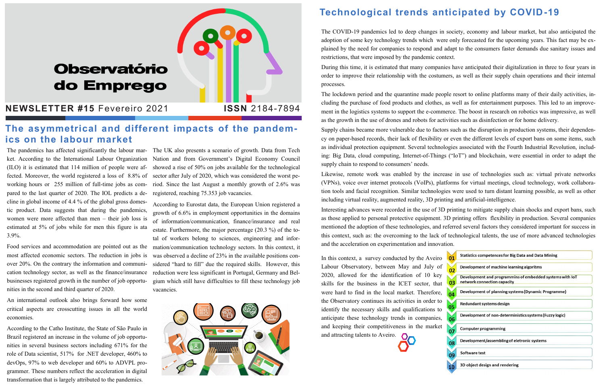ket. According to the International Labour Organization (ILO) it is estimated that 114 million of people were affected. Moreover, the world registered a loss of 8.8% of working hours or 255 million of full-time jobs as compared to the last quarter of 2020. The IOL predicts a decline in global income of 4.4 % of the global gross domestic product. Data suggests that during the pandemics, women were more affected than men – their job loss is estimated at 5% of jobs while for men this figure is ata 3.9%.

Food services and accommodation are pointed out as the most affected economic sectors. The reduction in jobs is over 20%. On the contrary the information and communication technology sector, as well as the finance/insurance businesses registered growth in the number of job opportunities in the second and third quarter of 2020.

The pandemics has affected significantly the labour mar-The UK also presents a scenario of growth. Data from Tech Nation and from Government's Digital Economy Council showed a rise of 50% on jobs available for the technological sector after July of 2020, which was considered the worst period. Since the last August a monthly growth of 2.6% was registered, reaching 75.353 job vacancies.

An international outlook also brings forward how some critical aspects are crosscutting issues in all the world economies.

According to the Catho Institute, the State of São Paulo in Brazil registered an increase in the volume of job opportunities in several business sectors including 671% for the role of Data scientist, 517% for .NET developer, 460% to devOps, 97% to web developer and 60% to ADVPL programmer. These numbers reflect the acceleration in digital transformation that is largely attributed to the pandemics.

According to Eurostat data, the European Union registered a growth of 6.6% in employment opportunities in the domains of information/communication, finance/insurance and real estate. Furthermore, the major percentage (20.3 %) of the total of workers belong to sciences, engineering and information/communication technology sectors. In this context, it was observed a decline of 23% in the available positions considered "hard to fill" due the required skills. However, this reduction were less significant in Portugal, Germany and Belgium which still have difficulties to fill these technology job vacancies.



## **Technological trends anticipated by COVID-19**

In this context, a survey conducted by the Aveiro Labour Observatory, between May and July of 2020, allowed for the identification of 10 key skills for the business in the ICET sector, that were hard to find in the local market. Therefore, the Observatory continues its activities in order to identify the necessary skills and qualifications to anticipate these technology trends in companies, and keeping their competitiveness in the market and attracting talents to Aveiro.

| <b>Statistics competences for Big Data and Data Mining</b>                              |
|-----------------------------------------------------------------------------------------|
| Development of machine learning algoritms                                               |
| Development and programmins of embedded systems with IoT<br>network connection capacity |
| Development of planning systems (Dynamic Programme)                                     |
| Redundant systems design                                                                |
| Development of non-deterministics systems (Fuzzy logic)                                 |
| <b>Computer programming</b>                                                             |
| Development/assembling of eletronic systems                                             |
| Software test                                                                           |
| 3D object design and rendering                                                          |
|                                                                                         |

The COVID-19 pandemics led to deep changes in society, economy and labour market, but also anticipated the adoption of some key technology trends which were only forecasted for the upcoming years. This fact may be explained by the need for companies to respond and adapt to the consumers faster demands due sanitary issues and restrictions, that were imposed by the pandemic context. During this time, it is estimated that many companies have anticipated their digitalization in three to four years in order to improve their relationship with the costumers, as well as their supply chain operations and their internal processes.

The lockdown period and the quarantine made people resort to online platforms many of their daily activities, including the purchase of food products and clothes, as well as for entertainment purposes. This led to an improvement in the logistics systems to support the e-commerce. The boost in research on robotics was impressive, as well as the growth in the use of drones and robots for activities such as disinfection or for home delivery. Supply chains became more vulnerable due to factors such as the disruption in production systems, their dependency on paper-based records, their lack of flexibility or even the different levels of export bans on some items, such as individual protection equipment. Several technologies associated with the Fourth Industrial Revolution, including: Big Data, cloud computing, Internet-of-Things ("IoT") and blockchain, were essential in order to adapt the supply chain to respond to consumers' needs.

Likewise, remote work was enabled by the increase in use of technologies such as: virtual private networks (VPNs), voice over internet protocols (VoIPs), platforms for virtual meetings, cloud technology, work collaboration tools and facial recognition. Similar technologies were used to turn distant learning possible, as well as other including virtual reality, augmented reality, 3D printing and artificial-intelligence. Interesting advances were recorded in the use of 3D printing to mitigate supply chain shocks and export bans, such as those applied to personal protective equipment. 3D printing offers flexibility in production. Several companies mentioned the adoption of these technologies, and referred several factors they considered important for success in this context, such as: the overcoming to the lack of technological talents, the use of more advanced technologies and the acceleration on experimentation and innovation.

# **Observatório** do Emprego

#### **NEWSLETTER #15** Fevereiro 2021 **ISSN** 2184-7894

### **The asymmetrical and different impacts of the pandemics on the labour market**